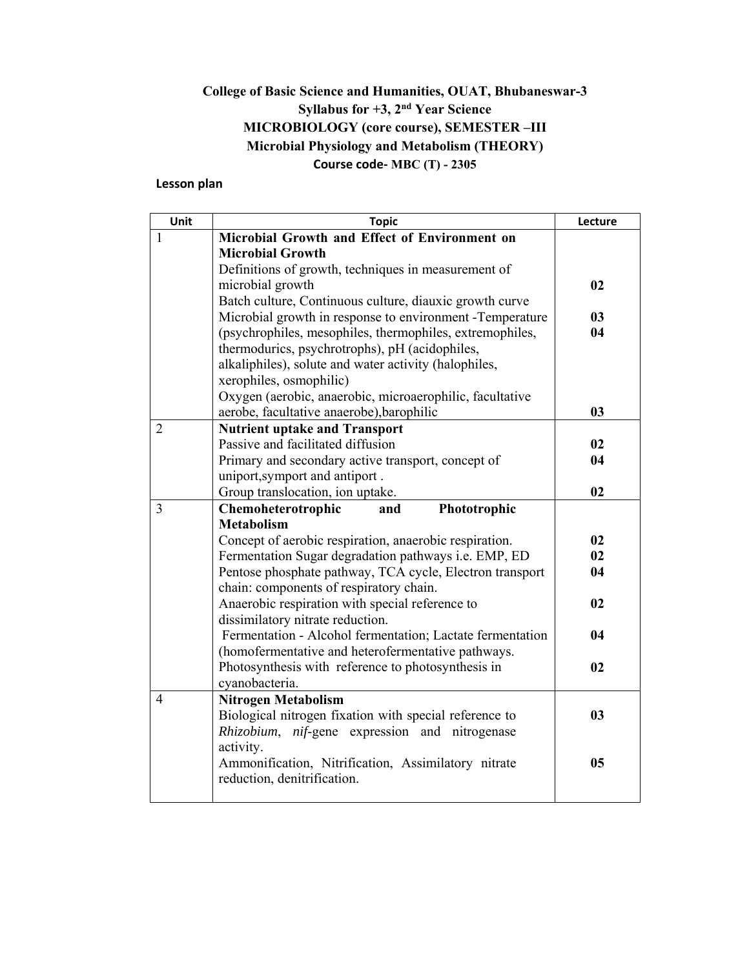## **College of Basic Science and Humanities, OUAT, Bhubaneswar-3 Syllabus for +3, 2nd Year Science MICROBIOLOGY (core course), SEMESTER –III Microbial Physiology and Metabolism (THEORY) Course code‐ MBC (T) - 2305**

### **Lesson plan**

| Unit           | <b>Topic</b>                                                                         | Lecture        |
|----------------|--------------------------------------------------------------------------------------|----------------|
| 1              | Microbial Growth and Effect of Environment on                                        |                |
|                | <b>Microbial Growth</b>                                                              |                |
|                | Definitions of growth, techniques in measurement of                                  |                |
|                | microbial growth                                                                     | 02             |
|                | Batch culture, Continuous culture, diauxic growth curve                              |                |
|                | Microbial growth in response to environment - Temperature                            | 03             |
|                | (psychrophiles, mesophiles, thermophiles, extremophiles,                             | 04             |
|                | thermodurics, psychrotrophs), pH (acidophiles,                                       |                |
|                | alkaliphiles), solute and water activity (halophiles,                                |                |
|                | xerophiles, osmophilic)                                                              |                |
|                | Oxygen (aerobic, anaerobic, microaerophilic, facultative                             |                |
|                | aerobe, facultative anaerobe), barophilic                                            | 03             |
| $\overline{2}$ | <b>Nutrient uptake and Transport</b><br>Passive and facilitated diffusion            |                |
|                |                                                                                      | 02<br>04       |
|                | Primary and secondary active transport, concept of<br>uniport, symport and antiport. |                |
|                | Group translocation, ion uptake.                                                     | 02             |
| 3              | Phototrophic<br>Chemoheterotrophic<br>and                                            |                |
|                | <b>Metabolism</b>                                                                    |                |
|                | Concept of aerobic respiration, anaerobic respiration.                               | 02             |
|                | Fermentation Sugar degradation pathways i.e. EMP, ED                                 | 02             |
|                | Pentose phosphate pathway, TCA cycle, Electron transport                             | 04             |
|                | chain: components of respiratory chain.                                              |                |
|                | Anaerobic respiration with special reference to                                      | 02             |
|                | dissimilatory nitrate reduction.                                                     |                |
|                | Fermentation - Alcohol fermentation; Lactate fermentation                            | 04             |
|                | (homofermentative and heterofermentative pathways.                                   |                |
|                | Photosynthesis with reference to photosynthesis in                                   | 02             |
|                | cyanobacteria.                                                                       |                |
| $\overline{4}$ | <b>Nitrogen Metabolism</b>                                                           |                |
|                | Biological nitrogen fixation with special reference to                               | 0 <sub>3</sub> |
|                | Rhizobium, nif-gene expression and nitrogenase                                       |                |
|                | activity.                                                                            |                |
|                | Ammonification, Nitrification, Assimilatory nitrate                                  | 05             |
|                | reduction, denitrification.                                                          |                |
|                |                                                                                      |                |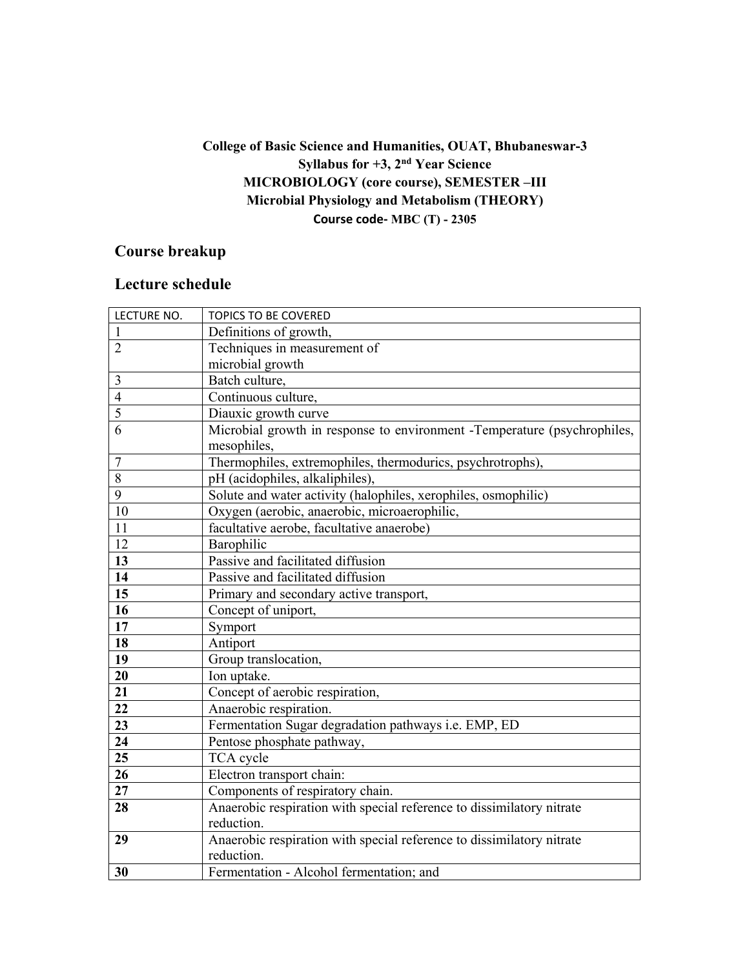## **College of Basic Science and Humanities, OUAT, Bhubaneswar-3 Syllabus for +3, 2nd Year Science MICROBIOLOGY (core course), SEMESTER –III Microbial Physiology and Metabolism (THEORY) Course code‐ MBC (T) - 2305**

# **Course breakup**

| LECTURE NO.    | <b>TOPICS TO BE COVERED</b>                                                             |
|----------------|-----------------------------------------------------------------------------------------|
|                | Definitions of growth,                                                                  |
| $\overline{2}$ | Techniques in measurement of                                                            |
|                | microbial growth                                                                        |
| 3              | Batch culture,                                                                          |
| $\overline{4}$ | Continuous culture,                                                                     |
| $\overline{5}$ | Diauxic growth curve                                                                    |
| 6              | Microbial growth in response to environment -Temperature (psychrophiles,<br>mesophiles, |
| $\overline{7}$ | Thermophiles, extremophiles, thermodurics, psychrotrophs),                              |
| $\overline{8}$ | pH (acidophiles, alkaliphiles),                                                         |
| $\overline{9}$ | Solute and water activity (halophiles, xerophiles, osmophilic)                          |
| 10             | Oxygen (aerobic, anaerobic, microaerophilic,                                            |
| 11             | facultative aerobe, facultative anaerobe)                                               |
| 12             | Barophilic                                                                              |
| 13             | Passive and facilitated diffusion                                                       |
| 14             | Passive and facilitated diffusion                                                       |
| 15             | Primary and secondary active transport,                                                 |
| 16             | Concept of uniport,                                                                     |
| 17             | Symport                                                                                 |
| 18             | Antiport                                                                                |
| 19             | Group translocation,                                                                    |
| 20             | Ion uptake.                                                                             |
| 21             | Concept of aerobic respiration,                                                         |
| 22             | Anaerobic respiration.                                                                  |
| 23             | Fermentation Sugar degradation pathways i.e. EMP, ED                                    |
| 24             | Pentose phosphate pathway,                                                              |
| 25             | TCA cycle                                                                               |
| 26             | Electron transport chain:                                                               |
| 27             | Components of respiratory chain.                                                        |
| 28             | Anaerobic respiration with special reference to dissimilatory nitrate                   |
|                | reduction.                                                                              |
| 29             | Anaerobic respiration with special reference to dissimilatory nitrate                   |
|                | reduction.                                                                              |
| 30             | Fermentation - Alcohol fermentation; and                                                |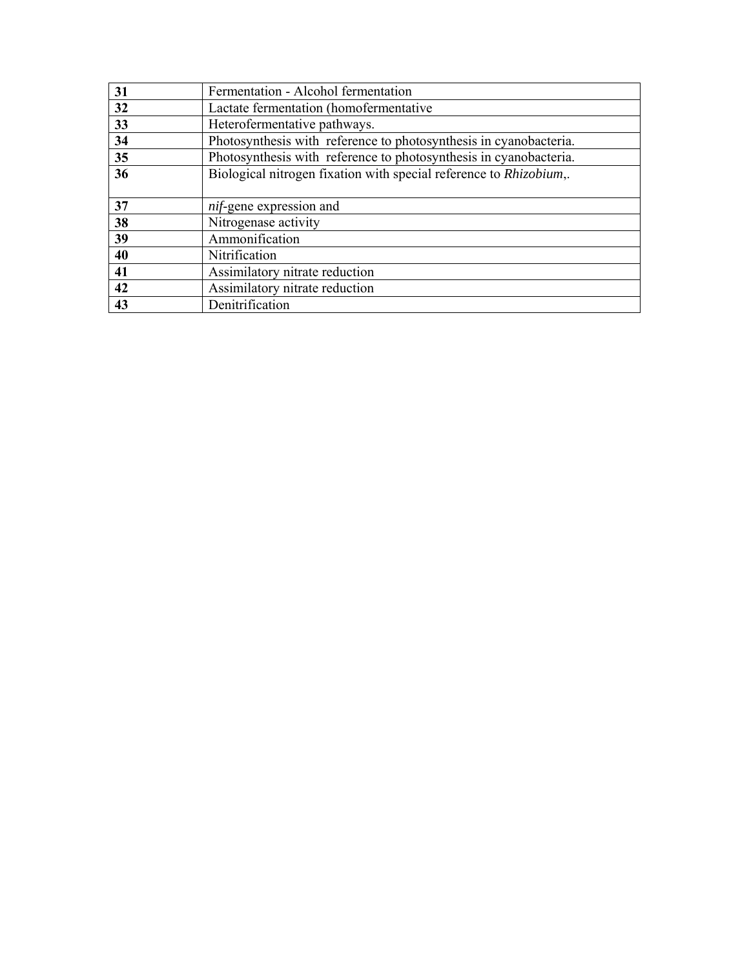| 31 | Fermentation - Alcohol fermentation                                |
|----|--------------------------------------------------------------------|
| 32 | Lactate fermentation (homofermentative                             |
| 33 | Heterofermentative pathways.                                       |
| 34 | Photosynthesis with reference to photosynthesis in cyanobacteria.  |
| 35 | Photosynthesis with reference to photosynthesis in cyanobacteria.  |
| 36 | Biological nitrogen fixation with special reference to Rhizobium,. |
|    |                                                                    |
| 37 | nif-gene expression and                                            |
| 38 | Nitrogenase activity                                               |
| 39 | Ammonification                                                     |
| 40 | Nitrification                                                      |
| 41 | Assimilatory nitrate reduction                                     |
| 42 | Assimilatory nitrate reduction                                     |
| 43 | Denitrification                                                    |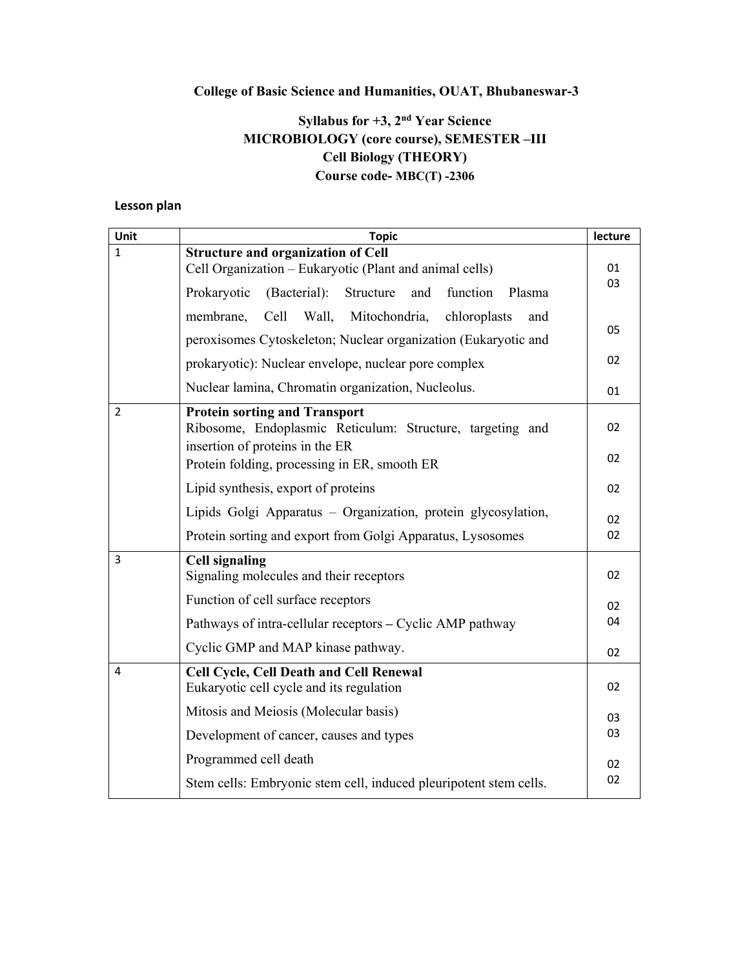## **College of Basic Science and Humanities, OUAT, Bhubaneswar-3**

## **Syllabus for +3, 2nd Year Science MICROBIOLOGY (core course), SEMESTER –III Cell Biology (THEORY) Course code- MBC(T) -2306**

### **Lesson plan**

| Unit           | <b>Topic</b>                                                                                      | lecture  |
|----------------|---------------------------------------------------------------------------------------------------|----------|
| 1              | Structure and organization of Cell                                                                |          |
|                | Cell Organization - Eukaryotic (Plant and animal cells)                                           | 01<br>03 |
|                | and<br>Prokaryotic<br>(Bacterial):<br>Structure<br>function<br>Plasma                             |          |
|                | Mitochondria, chloroplasts<br>membrane,<br>Cell Wall,<br>and                                      | 05       |
|                | peroxisomes Cytoskeleton; Nuclear organization (Eukaryotic and                                    |          |
|                | prokaryotic): Nuclear envelope, nuclear pore complex                                              | 02       |
|                | Nuclear lamina, Chromatin organization, Nucleolus.                                                | 01       |
| $\overline{2}$ | <b>Protein sorting and Transport</b><br>Ribosome, Endoplasmic Reticulum: Structure, targeting and | 02       |
|                | insertion of proteins in the ER                                                                   |          |
|                | Protein folding, processing in ER, smooth ER                                                      | 02       |
|                | Lipid synthesis, export of proteins                                                               | 02       |
|                | Lipids Golgi Apparatus - Organization, protein glycosylation,                                     | 02       |
|                | Protein sorting and export from Golgi Apparatus, Lysosomes                                        | 02       |
| 3              | <b>Cell signaling</b>                                                                             |          |
|                | Signaling molecules and their receptors                                                           | 02       |
|                | Function of cell surface receptors                                                                | 02       |
|                | Pathways of intra-cellular receptors – Cyclic AMP pathway                                         | 04       |
|                | Cyclic GMP and MAP kinase pathway.                                                                | 02       |
| 4              | <b>Cell Cycle, Cell Death and Cell Renewal</b><br>Eukaryotic cell cycle and its regulation        | 02       |
|                |                                                                                                   |          |
|                | Mitosis and Meiosis (Molecular basis)                                                             | 03       |
|                | Development of cancer, causes and types                                                           | 03       |
|                | Programmed cell death                                                                             | 02       |
|                | Stem cells: Embryonic stem cell, induced pleuripotent stem cells.                                 | 02       |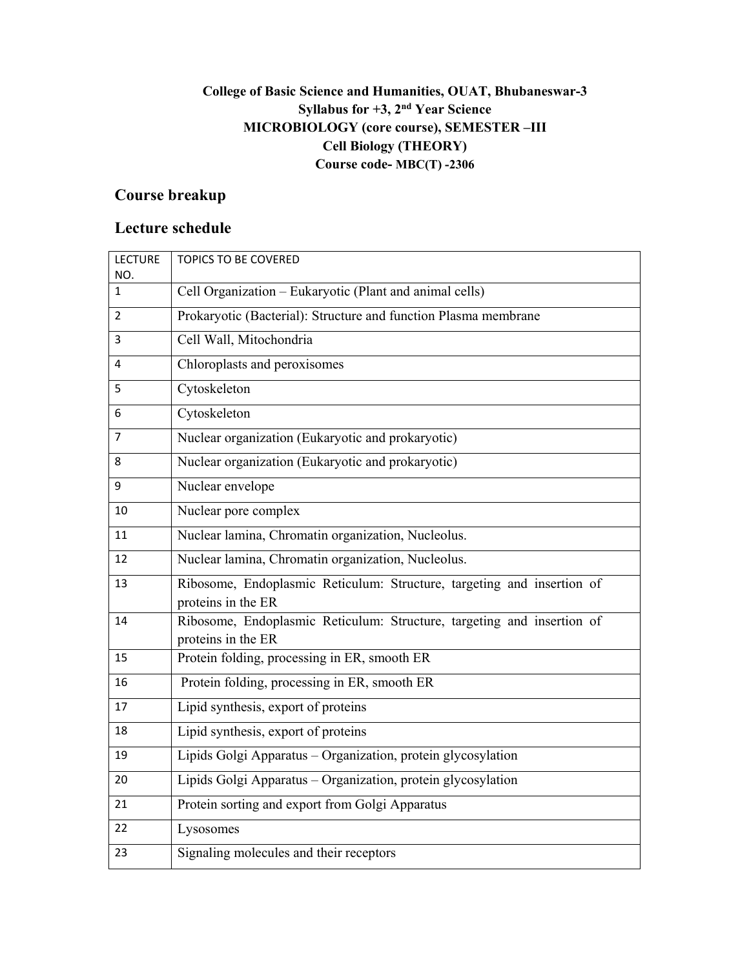## **College of Basic Science and Humanities, OUAT, Bhubaneswar-3 Syllabus for +3, 2nd Year Science MICROBIOLOGY (core course), SEMESTER –III Cell Biology (THEORY) Course code- MBC(T) -2306**

# **Course breakup**

| <b>LECTURE</b> | <b>TOPICS TO BE COVERED</b>                                                                  |
|----------------|----------------------------------------------------------------------------------------------|
| NO.<br>1       | Cell Organization - Eukaryotic (Plant and animal cells)                                      |
| 2              | Prokaryotic (Bacterial): Structure and function Plasma membrane                              |
| 3              | Cell Wall, Mitochondria                                                                      |
| 4              | Chloroplasts and peroxisomes                                                                 |
| 5              | Cytoskeleton                                                                                 |
| 6              | Cytoskeleton                                                                                 |
| 7              | Nuclear organization (Eukaryotic and prokaryotic)                                            |
| 8              | Nuclear organization (Eukaryotic and prokaryotic)                                            |
| 9              | Nuclear envelope                                                                             |
| 10             | Nuclear pore complex                                                                         |
| 11             | Nuclear lamina, Chromatin organization, Nucleolus.                                           |
| 12             | Nuclear lamina, Chromatin organization, Nucleolus.                                           |
| 13             | Ribosome, Endoplasmic Reticulum: Structure, targeting and insertion of<br>proteins in the ER |
| 14             | Ribosome, Endoplasmic Reticulum: Structure, targeting and insertion of<br>proteins in the ER |
| 15             | Protein folding, processing in ER, smooth ER                                                 |
| 16             | Protein folding, processing in ER, smooth ER                                                 |
| 17             | Lipid synthesis, export of proteins                                                          |
| 18             | Lipid synthesis, export of proteins                                                          |
| 19             | Lipids Golgi Apparatus - Organization, protein glycosylation                                 |
| 20             | Lipids Golgi Apparatus - Organization, protein glycosylation                                 |
| 21             | Protein sorting and export from Golgi Apparatus                                              |
| 22             | Lysosomes                                                                                    |
| 23             | Signaling molecules and their receptors                                                      |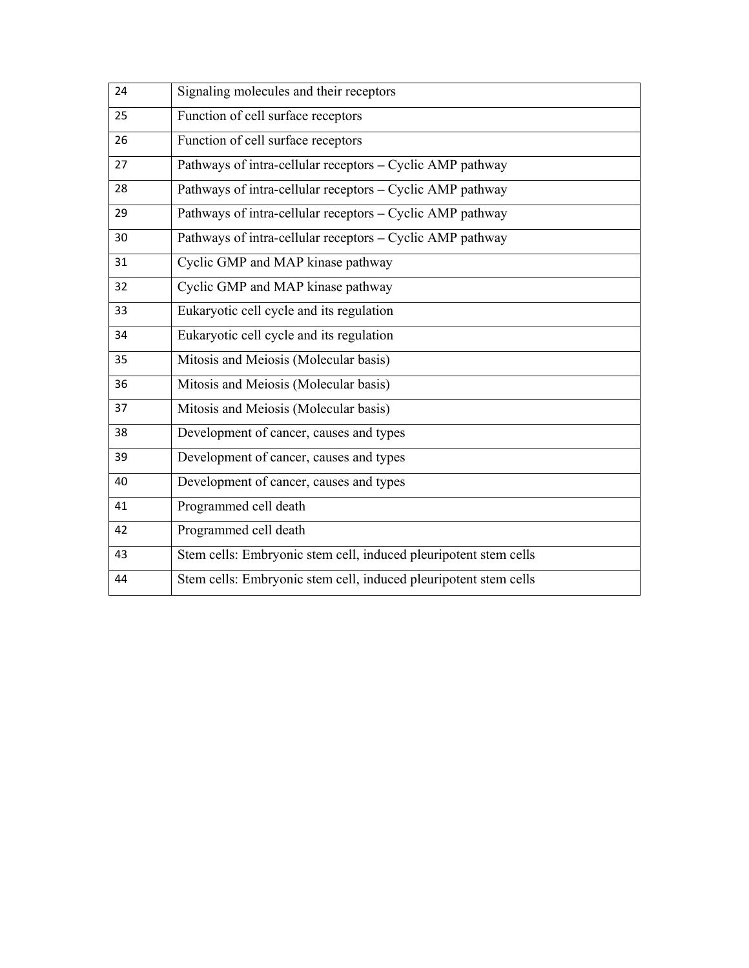| 24 | Signaling molecules and their receptors                          |
|----|------------------------------------------------------------------|
| 25 | Function of cell surface receptors                               |
| 26 | Function of cell surface receptors                               |
| 27 | Pathways of intra-cellular receptors - Cyclic AMP pathway        |
| 28 | Pathways of intra-cellular receptors - Cyclic AMP pathway        |
| 29 | Pathways of intra-cellular receptors - Cyclic AMP pathway        |
| 30 | Pathways of intra-cellular receptors - Cyclic AMP pathway        |
| 31 | Cyclic GMP and MAP kinase pathway                                |
| 32 | Cyclic GMP and MAP kinase pathway                                |
| 33 | Eukaryotic cell cycle and its regulation                         |
| 34 | Eukaryotic cell cycle and its regulation                         |
| 35 | Mitosis and Meiosis (Molecular basis)                            |
| 36 | Mitosis and Meiosis (Molecular basis)                            |
| 37 | Mitosis and Meiosis (Molecular basis)                            |
| 38 | Development of cancer, causes and types                          |
| 39 | Development of cancer, causes and types                          |
| 40 | Development of cancer, causes and types                          |
| 41 | Programmed cell death                                            |
| 42 | Programmed cell death                                            |
| 43 | Stem cells: Embryonic stem cell, induced pleuripotent stem cells |
| 44 | Stem cells: Embryonic stem cell, induced pleuripotent stem cells |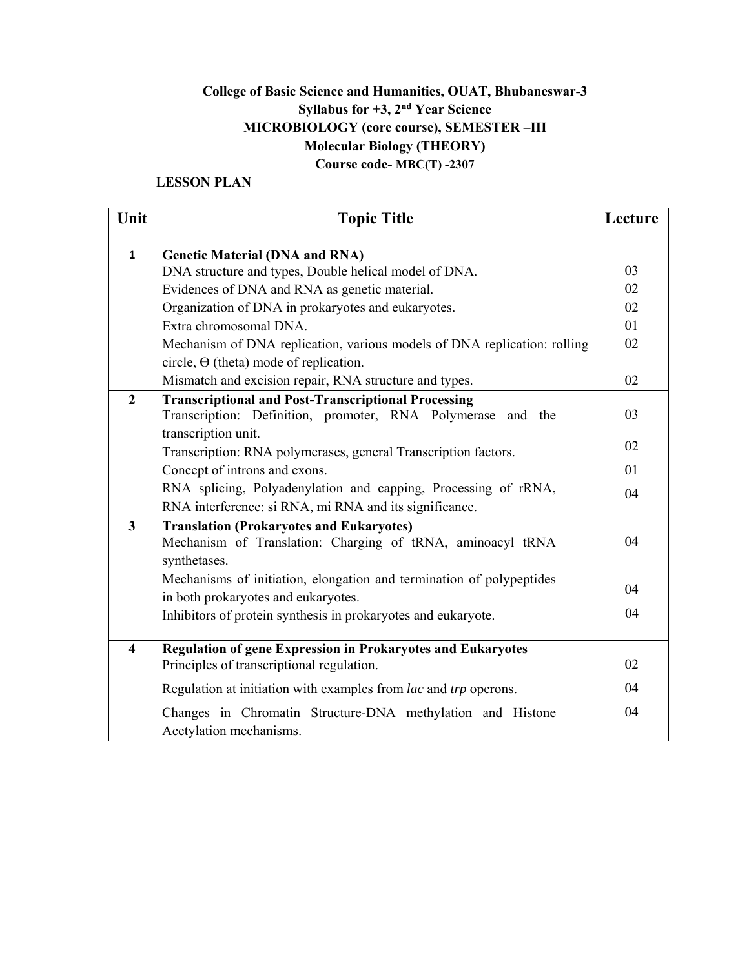## **College of Basic Science and Humanities, OUAT, Bhubaneswar-3 Syllabus for +3, 2nd Year Science MICROBIOLOGY (core course), SEMESTER –III Molecular Biology (THEORY) Course code- MBC(T) -2307**

### **LESSON PLAN**

| Unit                    | <b>Topic Title</b>                                                                             | Lecture        |
|-------------------------|------------------------------------------------------------------------------------------------|----------------|
|                         |                                                                                                |                |
| $\mathbf{1}$            | <b>Genetic Material (DNA and RNA)</b><br>DNA structure and types, Double helical model of DNA. | 03             |
|                         | Evidences of DNA and RNA as genetic material.                                                  | 02             |
|                         | Organization of DNA in prokaryotes and eukaryotes.                                             | 02             |
|                         | Extra chromosomal DNA.                                                                         | 01             |
|                         | Mechanism of DNA replication, various models of DNA replication: rolling                       | 02             |
|                         | circle, $\Theta$ (theta) mode of replication.                                                  |                |
|                         | Mismatch and excision repair, RNA structure and types.                                         | 02             |
| $\overline{2}$          | <b>Transcriptional and Post-Transcriptional Processing</b>                                     |                |
|                         | Transcription: Definition, promoter, RNA Polymerase and the                                    | 03             |
|                         | transcription unit.                                                                            |                |
|                         | Transcription: RNA polymerases, general Transcription factors.                                 | 02             |
|                         | Concept of introns and exons.                                                                  | 0 <sub>1</sub> |
|                         | RNA splicing, Polyadenylation and capping, Processing of rRNA,                                 | 04             |
|                         | RNA interference: si RNA, mi RNA and its significance.                                         |                |
| $\overline{3}$          | <b>Translation (Prokaryotes and Eukaryotes)</b>                                                |                |
|                         | Mechanism of Translation: Charging of tRNA, aminoacyl tRNA                                     | 04             |
|                         | synthetases.                                                                                   |                |
|                         | Mechanisms of initiation, elongation and termination of polypeptides                           | 04             |
|                         | in both prokaryotes and eukaryotes.                                                            |                |
|                         | Inhibitors of protein synthesis in prokaryotes and eukaryote.                                  | 04             |
| $\overline{\mathbf{4}}$ | <b>Regulation of gene Expression in Prokaryotes and Eukaryotes</b>                             |                |
|                         | Principles of transcriptional regulation.                                                      | 02             |
|                         | Regulation at initiation with examples from lac and trp operons.                               | 04             |
|                         | Changes in Chromatin Structure-DNA methylation and Histone                                     | 04             |
|                         | Acetylation mechanisms.                                                                        |                |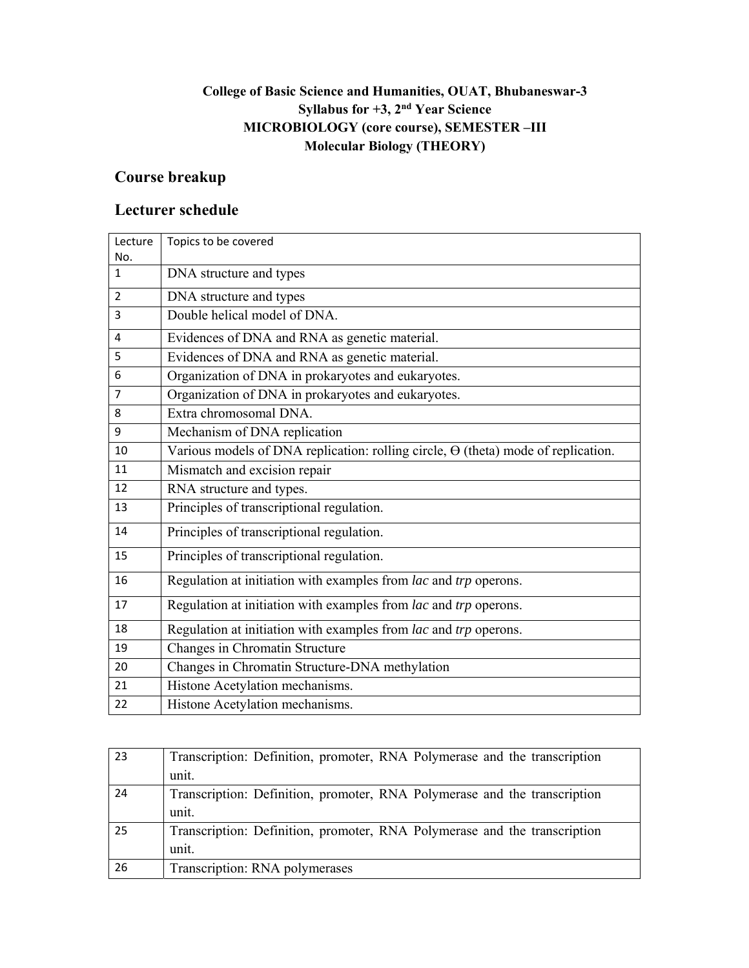## **College of Basic Science and Humanities, OUAT, Bhubaneswar-3 Syllabus for +3, 2nd Year Science MICROBIOLOGY (core course), SEMESTER –III Molecular Biology (THEORY)**

# **Course breakup**

| Lecture             | Topics to be covered                                                                     |
|---------------------|------------------------------------------------------------------------------------------|
| No.<br>$\mathbf{1}$ | DNA structure and types                                                                  |
|                     |                                                                                          |
| $\overline{2}$      | DNA structure and types                                                                  |
| 3                   | Double helical model of DNA.                                                             |
| 4                   | Evidences of DNA and RNA as genetic material.                                            |
| 5                   | Evidences of DNA and RNA as genetic material.                                            |
| 6                   | Organization of DNA in prokaryotes and eukaryotes.                                       |
| 7                   | Organization of DNA in prokaryotes and eukaryotes.                                       |
| 8                   | Extra chromosomal DNA.                                                                   |
| 9                   | Mechanism of DNA replication                                                             |
| 10                  | Various models of DNA replication: rolling circle, $\Theta$ (theta) mode of replication. |
| 11                  | Mismatch and excision repair                                                             |
| 12                  | RNA structure and types.                                                                 |
| 13                  | Principles of transcriptional regulation.                                                |
| 14                  | Principles of transcriptional regulation.                                                |
| 15                  | Principles of transcriptional regulation.                                                |
| 16                  | Regulation at initiation with examples from lac and trp operons.                         |
| 17                  | Regulation at initiation with examples from lac and trp operons.                         |
| 18                  | Regulation at initiation with examples from lac and trp operons.                         |
| 19                  | Changes in Chromatin Structure                                                           |
| 20                  | Changes in Chromatin Structure-DNA methylation                                           |
| 21                  | Histone Acetylation mechanisms.                                                          |
| 22                  | Histone Acetylation mechanisms.                                                          |

| 23 | Transcription: Definition, promoter, RNA Polymerase and the transcription |
|----|---------------------------------------------------------------------------|
|    | unit.                                                                     |
| 24 | Transcription: Definition, promoter, RNA Polymerase and the transcription |
|    | unit.                                                                     |
| 25 | Transcription: Definition, promoter, RNA Polymerase and the transcription |
|    | unit.                                                                     |
| 26 | Transcription: RNA polymerases                                            |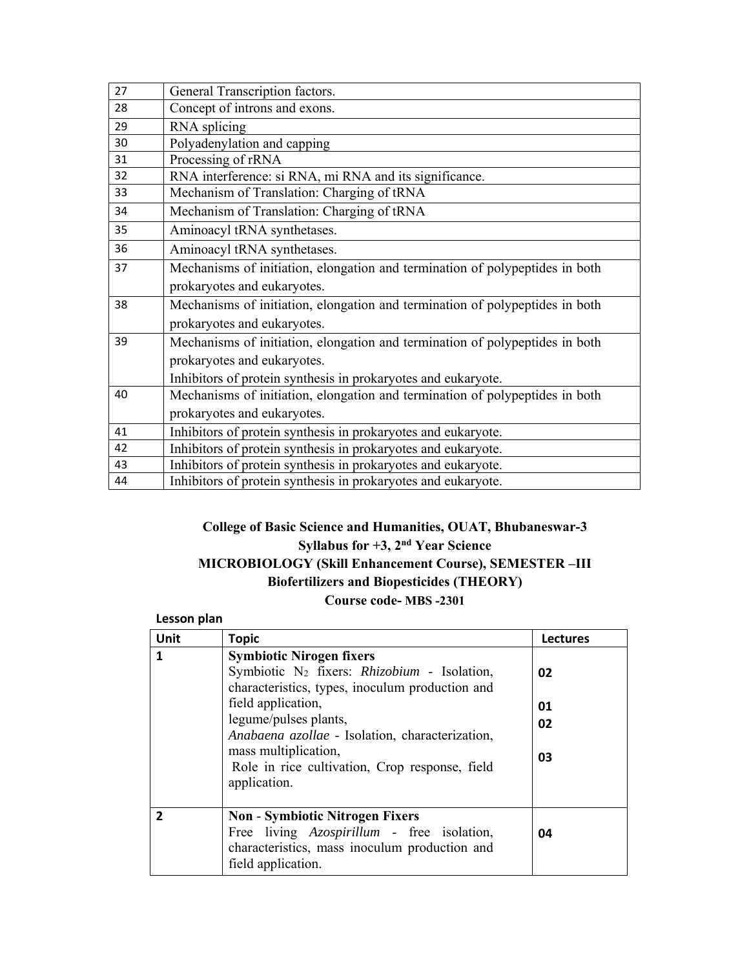| 27 | General Transcription factors.                                               |
|----|------------------------------------------------------------------------------|
| 28 | Concept of introns and exons.                                                |
| 29 | RNA splicing                                                                 |
| 30 | Polyadenylation and capping                                                  |
| 31 | Processing of rRNA                                                           |
| 32 | RNA interference: si RNA, mi RNA and its significance.                       |
| 33 | Mechanism of Translation: Charging of tRNA                                   |
| 34 | Mechanism of Translation: Charging of tRNA                                   |
| 35 | Aminoacyl tRNA synthetases.                                                  |
| 36 | Aminoacyl tRNA synthetases.                                                  |
| 37 | Mechanisms of initiation, elongation and termination of polypeptides in both |
|    | prokaryotes and eukaryotes.                                                  |
| 38 | Mechanisms of initiation, elongation and termination of polypeptides in both |
|    | prokaryotes and eukaryotes.                                                  |
| 39 | Mechanisms of initiation, elongation and termination of polypeptides in both |
|    | prokaryotes and eukaryotes.                                                  |
|    | Inhibitors of protein synthesis in prokaryotes and eukaryote.                |
| 40 | Mechanisms of initiation, elongation and termination of polypeptides in both |
|    | prokaryotes and eukaryotes.                                                  |
| 41 | Inhibitors of protein synthesis in prokaryotes and eukaryote.                |
| 42 | Inhibitors of protein synthesis in prokaryotes and eukaryote.                |
| 43 | Inhibitors of protein synthesis in prokaryotes and eukaryote.                |
| 44 | Inhibitors of protein synthesis in prokaryotes and eukaryote.                |

## **College of Basic Science and Humanities, OUAT, Bhubaneswar-3 Syllabus for +3, 2nd Year Science MICROBIOLOGY (Skill Enhancement Course), SEMESTER –III Biofertilizers and Biopesticides (THEORY) Course code- MBS -2301**

#### **Lesson plan**

| Unit         | <b>Topic</b>                                                                                                                                                                                                                                                                                                                              | Lectures             |
|--------------|-------------------------------------------------------------------------------------------------------------------------------------------------------------------------------------------------------------------------------------------------------------------------------------------------------------------------------------------|----------------------|
| 1            | <b>Symbiotic Nirogen fixers</b><br>Symbiotic N <sub>2</sub> fixers: Rhizobium - Isolation,<br>characteristics, types, inoculum production and<br>field application,<br>legume/pulses plants,<br>Anabaena azollae - Isolation, characterization,<br>mass multiplication,<br>Role in rice cultivation, Crop response, field<br>application. | 02<br>01<br>02<br>03 |
| $\mathbf{z}$ | <b>Non - Symbiotic Nitrogen Fixers</b><br>Free living Azospirillum - free isolation,<br>characteristics, mass inoculum production and<br>field application.                                                                                                                                                                               | 04                   |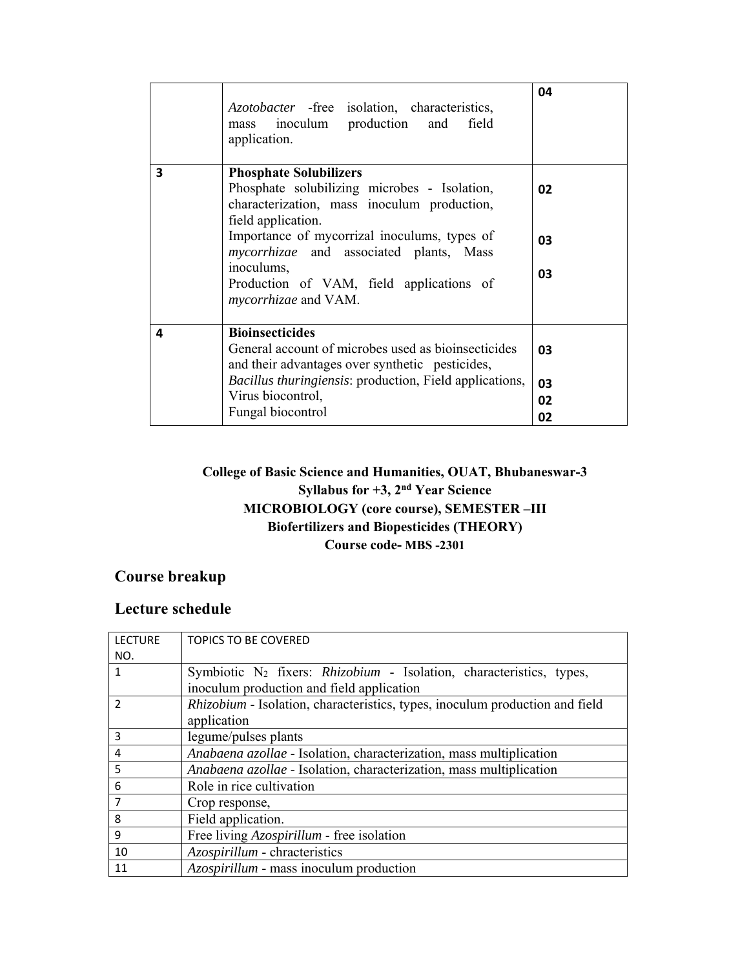|   | <i>Azotobacter</i> - free isolation, characteristics,<br>mass inoculum production and<br>field<br>application.                                                                          | 04       |
|---|-----------------------------------------------------------------------------------------------------------------------------------------------------------------------------------------|----------|
| 3 | <b>Phosphate Solubilizers</b><br>Phosphate solubilizing microbes - Isolation,<br>characterization, mass inoculum production,<br>field application.                                      | 02       |
|   | Importance of mycorrizal inoculums, types of<br><i>mycorrhizae</i> and associated plants, Mass<br>inoculums,<br>Production of VAM, field applications of<br><i>mycorrhizae</i> and VAM. | 03<br>03 |
|   |                                                                                                                                                                                         |          |
| 4 | <b>Bioinsecticides</b><br>General account of microbes used as bioinsecticides<br>and their advantages over synthetic pesticides,                                                        | 03       |
|   | <i>Bacillus thuringiensis:</i> production, Field applications,                                                                                                                          | 03       |
|   | Virus biocontrol,<br>Fungal biocontrol                                                                                                                                                  | 02       |
|   |                                                                                                                                                                                         | 02       |

## **College of Basic Science and Humanities, OUAT, Bhubaneswar-3 Syllabus for +3, 2nd Year Science MICROBIOLOGY (core course), SEMESTER –III Biofertilizers and Biopesticides (THEORY) Course code- MBS -2301**

# **Course breakup**

| <b>LECTURE</b> | <b>TOPICS TO BE COVERED</b>                                                     |
|----------------|---------------------------------------------------------------------------------|
| NO.            |                                                                                 |
| 1              | Symbiotic N <sub>2</sub> fixers: Rhizobium - Isolation, characteristics, types, |
|                | inoculum production and field application                                       |
| $\mathfrak{p}$ | Rhizobium - Isolation, characteristics, types, inoculum production and field    |
|                | application                                                                     |
| 3              | legume/pulses plants                                                            |
| 4              | Anabaena azollae - Isolation, characterization, mass multiplication             |
| 5              | <i>Anabaena azollae</i> - Isolation, characterization, mass multiplication      |
| 6              | Role in rice cultivation                                                        |
| 7              | Crop response,                                                                  |
| 8              | Field application.                                                              |
| 9              | Free living Azospirillum - free isolation                                       |
| 10             | Azospirillum - chracteristics                                                   |
| 11             | Azospirillum - mass inoculum production                                         |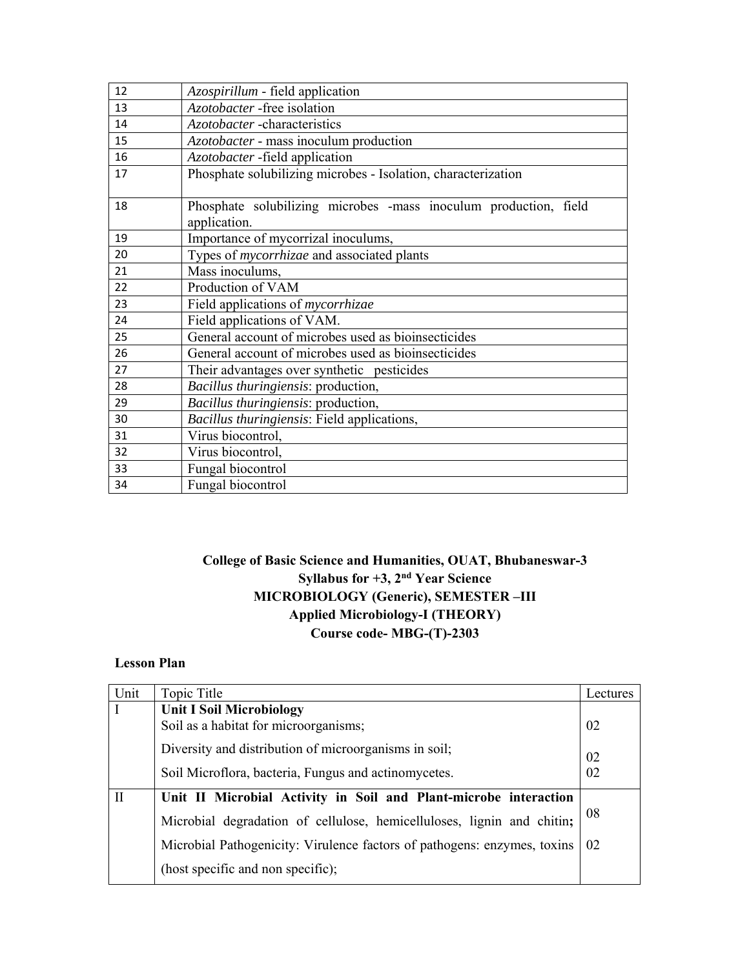| 12 | Azospirillum - field application                                                 |
|----|----------------------------------------------------------------------------------|
| 13 | Azotobacter -free isolation                                                      |
| 14 | Azotobacter -characteristics                                                     |
| 15 | Azotobacter - mass inoculum production                                           |
| 16 | Azotobacter -field application                                                   |
| 17 | Phosphate solubilizing microbes - Isolation, characterization                    |
| 18 | Phosphate solubilizing microbes -mass inoculum production, field<br>application. |
| 19 | Importance of mycorrizal inoculums,                                              |
| 20 | Types of <i>mycorrhizae</i> and associated plants                                |
| 21 | Mass inoculums,                                                                  |
| 22 | Production of VAM                                                                |
| 23 | Field applications of <i>mycorrhizae</i>                                         |
| 24 | Field applications of VAM.                                                       |
| 25 | General account of microbes used as bioinsecticides                              |
| 26 | General account of microbes used as bioinsecticides                              |
| 27 | Their advantages over synthetic pesticides                                       |
| 28 | Bacillus thuringiensis: production,                                              |
| 29 | Bacillus thuringiensis: production,                                              |
| 30 | Bacillus thuringiensis: Field applications,                                      |
| 31 | Virus biocontrol,                                                                |
| 32 | Virus biocontrol,                                                                |
| 33 | Fungal biocontrol                                                                |
| 34 | Fungal biocontrol                                                                |

## **College of Basic Science and Humanities, OUAT, Bhubaneswar-3 Syllabus for +3, 2nd Year Science MICROBIOLOGY (Generic), SEMESTER –III Applied Microbiology-I (THEORY) Course code- MBG-(T)-2303**

#### **Lesson Plan**

| Unit         | Topic Title                                                              | Lectures |
|--------------|--------------------------------------------------------------------------|----------|
| I            | <b>Unit I Soil Microbiology</b>                                          |          |
|              | Soil as a habitat for microorganisms;                                    | 02       |
|              | Diversity and distribution of microorganisms in soil;                    |          |
|              |                                                                          | 02       |
|              | Soil Microflora, bacteria, Fungus and actinomycetes.                     | 02       |
| $\mathbf{I}$ | Unit II Microbial Activity in Soil and Plant-microbe interaction         |          |
|              | Microbial degradation of cellulose, hemicelluloses, lignin and chitin;   | 08       |
|              | Microbial Pathogenicity: Virulence factors of pathogens: enzymes, toxins | 02       |
|              | (host specific and non specific);                                        |          |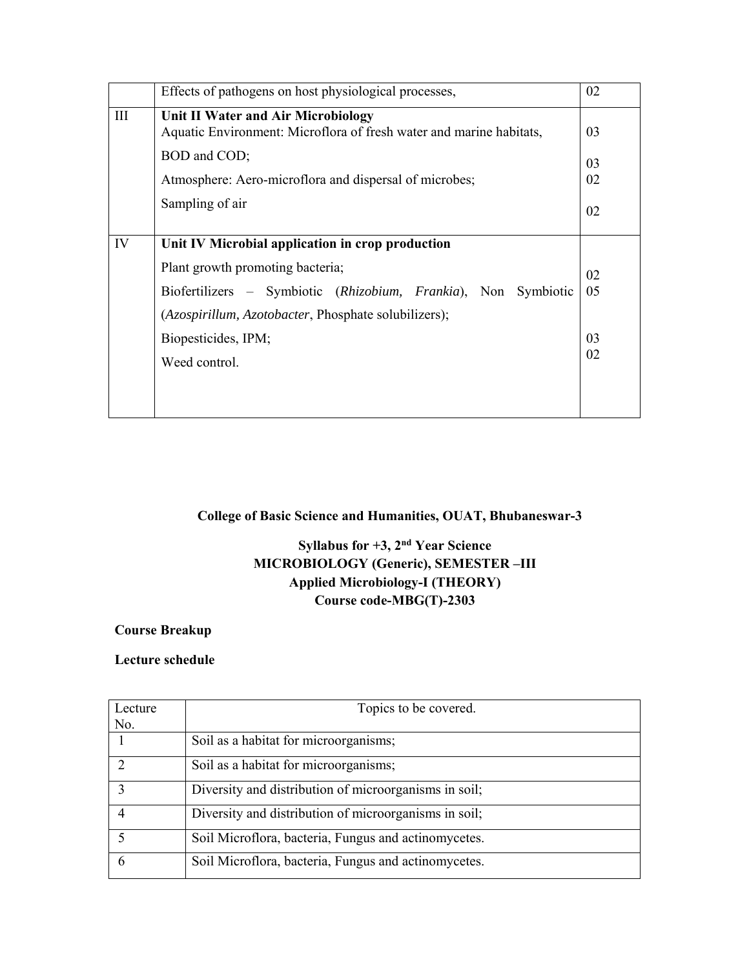|     | Effects of pathogens on host physiological processes,                                                     | 02 |
|-----|-----------------------------------------------------------------------------------------------------------|----|
| III | Unit II Water and Air Microbiology<br>Aquatic Environment: Microflora of fresh water and marine habitats, | 03 |
|     | BOD and COD;                                                                                              | 03 |
|     | Atmosphere: Aero-microflora and dispersal of microbes;                                                    | 02 |
|     | Sampling of air                                                                                           | 02 |
| IV  | Unit IV Microbial application in crop production                                                          |    |
|     | Plant growth promoting bacteria;                                                                          | 02 |
|     | Biofertilizers – Symbiotic (Rhizobium, Frankia), Non Symbiotic                                            | 05 |
|     | (Azospirillum, Azotobacter, Phosphate solubilizers);                                                      |    |
|     | Biopesticides, IPM;                                                                                       | 03 |
|     | Weed control.                                                                                             | 02 |
|     |                                                                                                           |    |
|     |                                                                                                           |    |

## **College of Basic Science and Humanities, OUAT, Bhubaneswar-3**

## **Syllabus for +3, 2nd Year Science MICROBIOLOGY (Generic), SEMESTER –III Applied Microbiology-I (THEORY) Course code-MBG(T)-2303**

### **Course Breakup**

| Lecture | Topics to be covered.                                 |
|---------|-------------------------------------------------------|
| No.     |                                                       |
|         | Soil as a habitat for microorganisms;                 |
|         | Soil as a habitat for microorganisms;                 |
|         | Diversity and distribution of microorganisms in soil; |
|         | Diversity and distribution of microorganisms in soil; |
|         | Soil Microflora, bacteria, Fungus and actinomycetes.  |
| 6       | Soil Microflora, bacteria, Fungus and actinomycetes.  |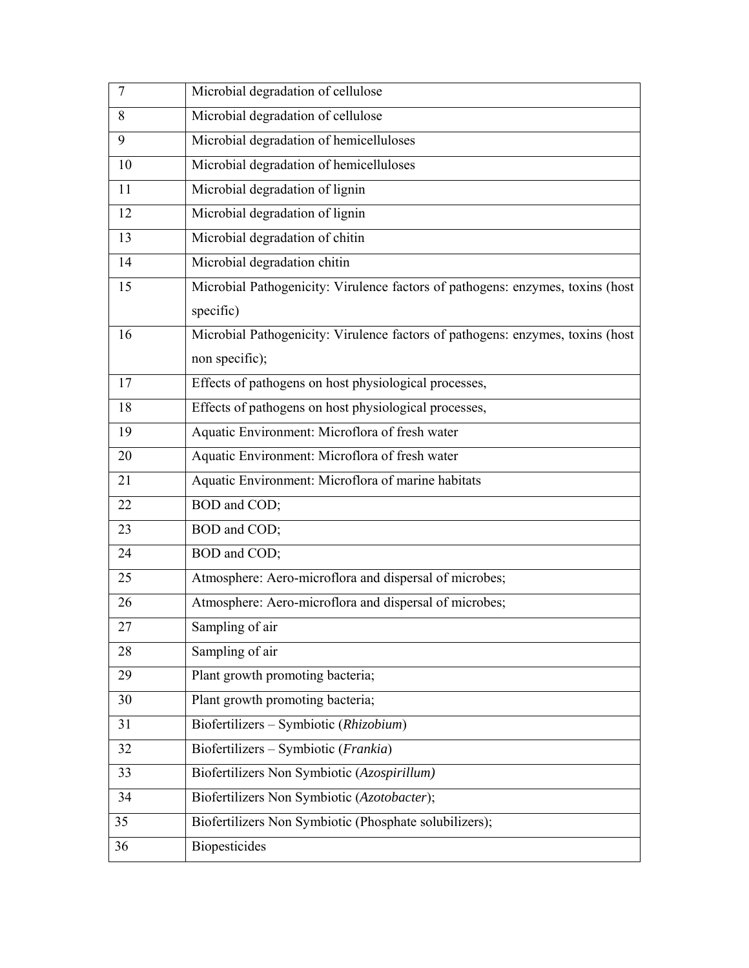| 7  | Microbial degradation of cellulose                                             |
|----|--------------------------------------------------------------------------------|
| 8  | Microbial degradation of cellulose                                             |
| 9  | Microbial degradation of hemicelluloses                                        |
| 10 | Microbial degradation of hemicelluloses                                        |
| 11 | Microbial degradation of lignin                                                |
| 12 | Microbial degradation of lignin                                                |
| 13 | Microbial degradation of chitin                                                |
| 14 | Microbial degradation chitin                                                   |
| 15 | Microbial Pathogenicity: Virulence factors of pathogens: enzymes, toxins (host |
|    | specific)                                                                      |
| 16 | Microbial Pathogenicity: Virulence factors of pathogens: enzymes, toxins (host |
|    | non specific);                                                                 |
| 17 | Effects of pathogens on host physiological processes,                          |
| 18 | Effects of pathogens on host physiological processes,                          |
| 19 | Aquatic Environment: Microflora of fresh water                                 |
| 20 | Aquatic Environment: Microflora of fresh water                                 |
| 21 | Aquatic Environment: Microflora of marine habitats                             |
| 22 | BOD and COD;                                                                   |
| 23 | BOD and COD;                                                                   |
| 24 | BOD and COD;                                                                   |
| 25 | Atmosphere: Aero-microflora and dispersal of microbes;                         |
| 26 | Atmosphere: Aero-microflora and dispersal of microbes;                         |
| 27 | Sampling of air                                                                |
| 28 | Sampling of air                                                                |
| 29 | Plant growth promoting bacteria;                                               |
| 30 | Plant growth promoting bacteria;                                               |
| 31 | Biofertilizers - Symbiotic (Rhizobium)                                         |
| 32 | Biofertilizers - Symbiotic (Frankia)                                           |
| 33 | Biofertilizers Non Symbiotic (Azospirillum)                                    |
| 34 | Biofertilizers Non Symbiotic (Azotobacter);                                    |
| 35 | Biofertilizers Non Symbiotic (Phosphate solubilizers);                         |
| 36 | <b>Biopesticides</b>                                                           |